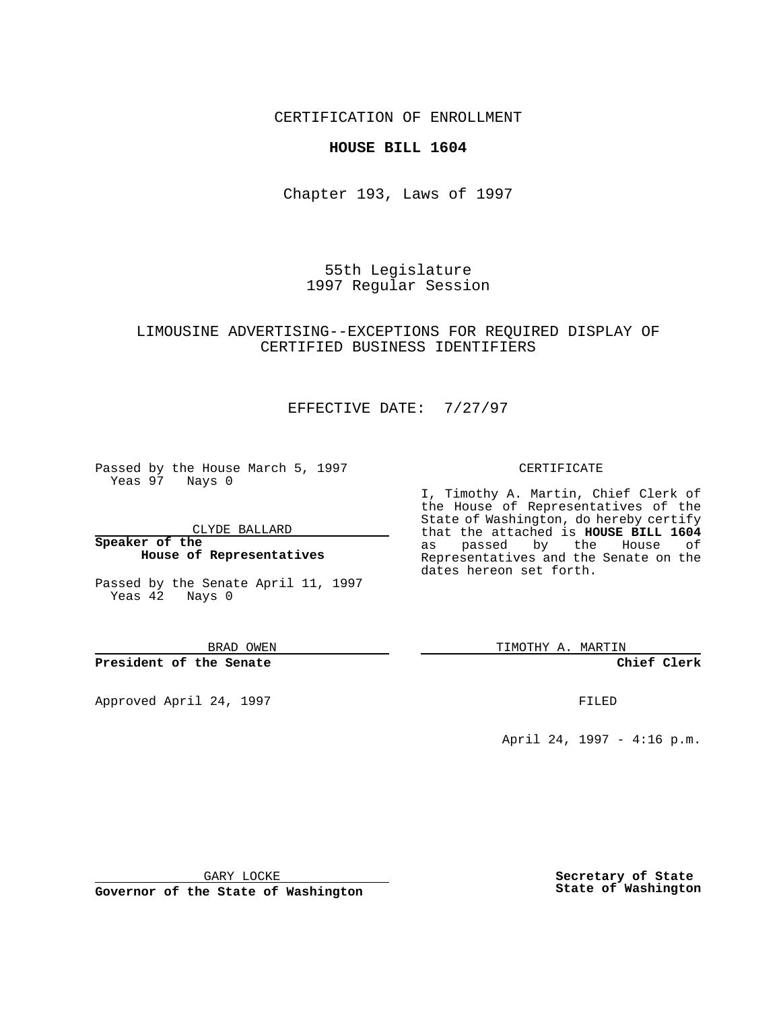CERTIFICATION OF ENROLLMENT

#### **HOUSE BILL 1604**

Chapter 193, Laws of 1997

55th Legislature 1997 Regular Session

### LIMOUSINE ADVERTISING--EXCEPTIONS FOR REQUIRED DISPLAY OF CERTIFIED BUSINESS IDENTIFIERS

# EFFECTIVE DATE: 7/27/97

Passed by the House March 5, 1997 Yeas 97 Nays 0

CLYDE BALLARD

**Speaker of the House of Representatives**

Passed by the Senate April 11, 1997 Yeas 42 Nays 0

BRAD OWEN

**President of the Senate**

Approved April 24, 1997 **FILED** 

#### CERTIFICATE

I, Timothy A. Martin, Chief Clerk of the House of Representatives of the State of Washington, do hereby certify that the attached is **HOUSE BILL 1604** as passed by the House of Representatives and the Senate on the dates hereon set forth.

TIMOTHY A. MARTIN

**Chief Clerk**

April 24, 1997 - 4:16 p.m.

GARY LOCKE

**Governor of the State of Washington**

**Secretary of State State of Washington**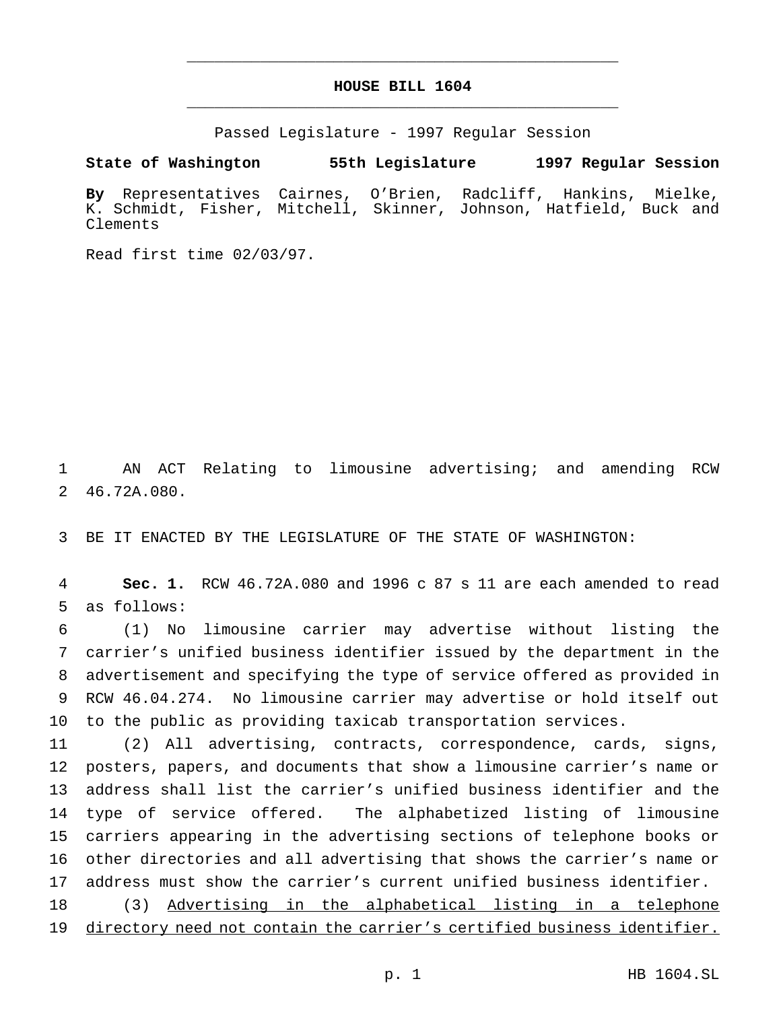# **HOUSE BILL 1604** \_\_\_\_\_\_\_\_\_\_\_\_\_\_\_\_\_\_\_\_\_\_\_\_\_\_\_\_\_\_\_\_\_\_\_\_\_\_\_\_\_\_\_\_\_\_\_

\_\_\_\_\_\_\_\_\_\_\_\_\_\_\_\_\_\_\_\_\_\_\_\_\_\_\_\_\_\_\_\_\_\_\_\_\_\_\_\_\_\_\_\_\_\_\_

Passed Legislature - 1997 Regular Session

**State of Washington 55th Legislature 1997 Regular Session**

**By** Representatives Cairnes, O'Brien, Radcliff, Hankins, Mielke, K. Schmidt, Fisher, Mitchell, Skinner, Johnson, Hatfield, Buck and Clements

Read first time 02/03/97.

 AN ACT Relating to limousine advertising; and amending RCW 46.72A.080.

BE IT ENACTED BY THE LEGISLATURE OF THE STATE OF WASHINGTON:

 **Sec. 1.** RCW 46.72A.080 and 1996 c 87 s 11 are each amended to read as follows:

 (1) No limousine carrier may advertise without listing the carrier's unified business identifier issued by the department in the advertisement and specifying the type of service offered as provided in RCW 46.04.274. No limousine carrier may advertise or hold itself out to the public as providing taxicab transportation services.

 (2) All advertising, contracts, correspondence, cards, signs, posters, papers, and documents that show a limousine carrier's name or address shall list the carrier's unified business identifier and the type of service offered. The alphabetized listing of limousine carriers appearing in the advertising sections of telephone books or other directories and all advertising that shows the carrier's name or address must show the carrier's current unified business identifier. (3) Advertising in the alphabetical listing in a telephone

directory need not contain the carrier's certified business identifier.